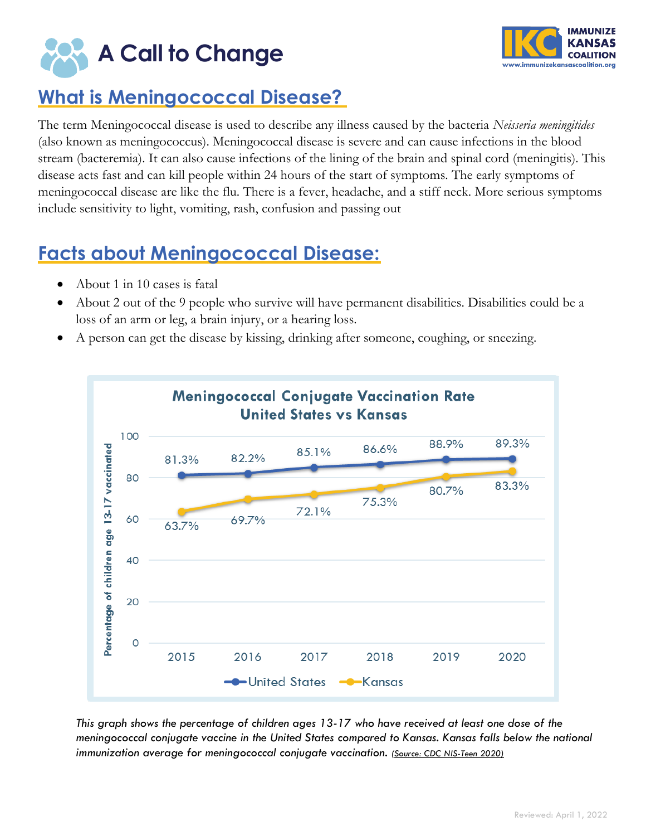



# **What is Meningococcal Disease?**

The term Meningococcal disease is used to describe any illness caused by the bacteria *Neisseria meningitides* (also known as meningococcus). Meningococcal disease is severe and can cause infections in the blood stream (bacteremia). It can also cause infections of the lining of the brain and spinal cord (meningitis). This disease acts fast and can kill people within 24 hours of the start of symptoms. The early symptoms of meningococcal disease are like the flu. There is a fever, headache, and a stiff neck. More serious symptoms include sensitivity to light, vomiting, rash, confusion and passing out

### **Facts about Meningococcal Disease:**

- About 1 in 10 cases is fatal
- About 2 out of the 9 people who survive will have permanent disabilities. Disabilities could be a loss of an arm or leg, a brain injury, or a hearing loss.
- A person can get the disease by kissing, drinking after someone, coughing, or sneezing.



*This graph shows the percentage of children ages 13-17 who have received at least one dose of the meningococcal conjugate vaccine in the United States compared to Kansas. Kansas falls below the national immunization average for meningococcal conjugate vaccination. (Source: [CDC NIS-Teen](https://www.cdc.gov/vaccines/imz-managers/coverage/teenvaxview/data-reports/) 2020)*